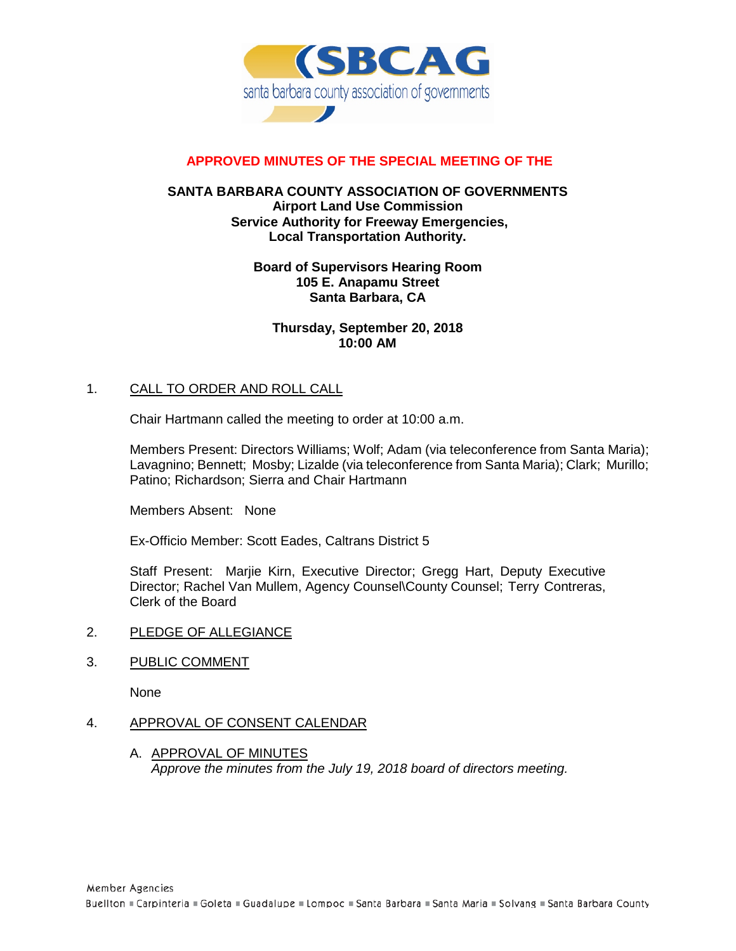

# **APPROVED MINUTES OF THE SPECIAL MEETING OF THE**

### **SANTA BARBARA COUNTY ASSOCIATION OF GOVERNMENTS Airport Land Use Commission Service Authority for Freeway Emergencies, Local Transportation Authority.**

#### **Board of Supervisors Hearing Room 105 E. Anapamu Street Santa Barbara, CA**

**Thursday, September 20, 2018 10:00 AM**

# 1. CALL TO ORDER AND ROLL CALL

Chair Hartmann called the meeting to order at 10:00 a.m.

Members Present: Directors Williams; Wolf; Adam (via teleconference from Santa Maria); Lavagnino; Bennett; Mosby; Lizalde (via teleconference from Santa Maria); Clark; Murillo; Patino; Richardson; Sierra and Chair Hartmann

Members Absent: None

Ex-Officio Member: Scott Eades, Caltrans District 5

Staff Present: Marjie Kirn, Executive Director; Gregg Hart, Deputy Executive Director; Rachel Van Mullem, Agency Counsel\County Counsel; Terry Contreras, Clerk of the Board

- 2. PLEDGE OF ALLEGIANCE
- 3. PUBLIC COMMENT

None

#### 4. APPROVAL OF CONSENT CALENDAR

A. APPROVAL OF MINUTES *Approve the minutes from the July 19, 2018 board of directors meeting.*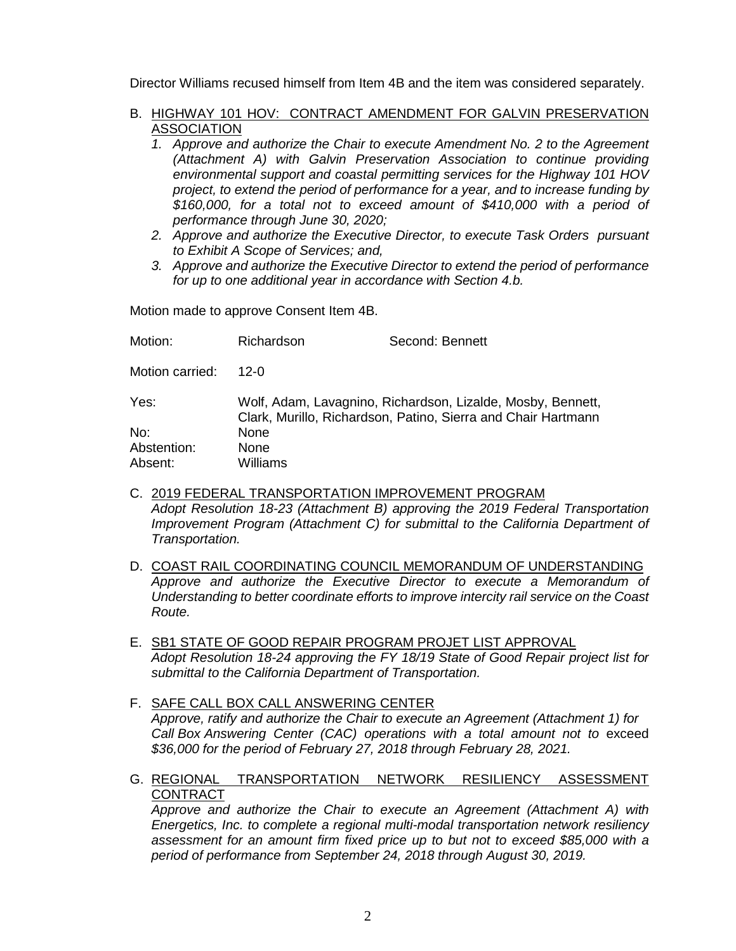Director Williams recused himself from Item 4B and the item was considered separately.

- B. HIGHWAY 101 HOV: CONTRACT AMENDMENT FOR GALVIN PRESERVATION **ASSOCIATION** 
	- *1. Approve and authorize the Chair to execute Amendment No. 2 to the Agreement (Attachment A) with Galvin Preservation Association to continue providing environmental support and coastal permitting services for the Highway 101 HOV project, to extend the period of performance for a year, and to increase funding by \$160,000, for a total not to exceed amount of \$410,000 with a period of performance through June 30, 2020;*
	- *2. Approve and authorize the Executive Director, to execute Task Orders pursuant to Exhibit A Scope of Services; and,*
	- *3. Approve and authorize the Executive Director to extend the period of performance for up to one additional year in accordance with Section 4.b.*

Motion made to approve Consent Item 4B.

| Motion:         | Richardson                                                                                                                   | Second: Bennett |  |
|-----------------|------------------------------------------------------------------------------------------------------------------------------|-----------------|--|
| Motion carried: | 12-0                                                                                                                         |                 |  |
| Yes:            | Wolf, Adam, Lavagnino, Richardson, Lizalde, Mosby, Bennett,<br>Clark, Murillo, Richardson, Patino, Sierra and Chair Hartmann |                 |  |
| No:             | None.                                                                                                                        |                 |  |
| Abstention:     | <b>None</b>                                                                                                                  |                 |  |
| Absent:         | Williams                                                                                                                     |                 |  |

- C. 2019 FEDERAL TRANSPORTATION IMPROVEMENT PROGRAM *Adopt Resolution 18-23 (Attachment B) approving the 2019 Federal Transportation Improvement Program (Attachment C) for submittal to the California Department of Transportation.*
- D. COAST RAIL COORDINATING COUNCIL MEMORANDUM OF UNDERSTANDING *Approve and authorize the Executive Director to execute a Memorandum of Understanding to better coordinate efforts to improve intercity rail service on the Coast Route.*
- E. SB1 STATE OF GOOD REPAIR PROGRAM PROJET LIST APPROVAL *Adopt Resolution 18-24 approving the FY 18/19 State of Good Repair project list for submittal to the California Department of Transportation.*
- F. SAFE CALL BOX CALL ANSWERING CENTER *Approve, ratify and authorize the Chair to execute an Agreement (Attachment 1) for Call Box Answering Center (CAC) operations with a total amount not to* exceed *\$36,000 for the period of February 27, 2018 through February 28, 2021.*
- G. REGIONAL TRANSPORTATION NETWORK RESILIENCY ASSESSMENT **CONTRACT**

*Approve and authorize the Chair to execute an Agreement (Attachment A) with Energetics, Inc. to complete a regional multi-modal transportation network resiliency assessment for an amount firm fixed price up to but not to exceed \$85,000 with a period of performance from September 24, 2018 through August 30, 2019.*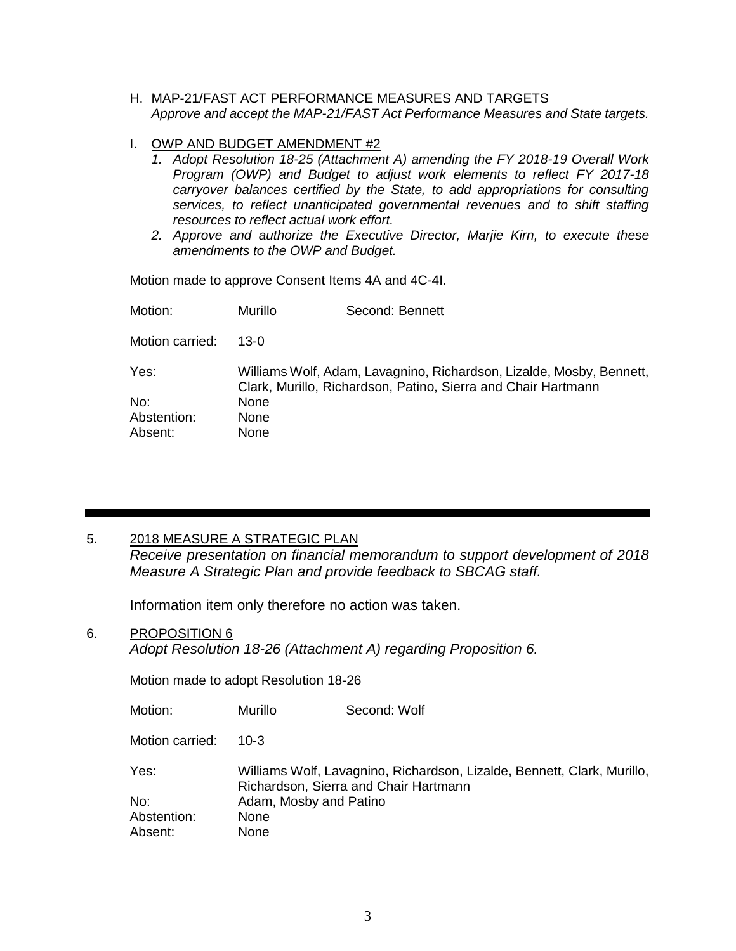- H. MAP-21/FAST ACT PERFORMANCE MEASURES AND TARGETS *Approve and accept the MAP-21/FAST Act Performance Measures and State targets.*
- I. OWP AND BUDGET AMENDMENT #2
	- *1. Adopt Resolution 18-25 (Attachment A) amending the FY 2018-19 Overall Work Program (OWP) and Budget to adjust work elements to reflect FY 2017-18 carryover balances certified by the State, to add appropriations for consulting services, to reflect unanticipated governmental revenues and to shift staffing resources to reflect actual work effort.*
	- *2. Approve and authorize the Executive Director, Marjie Kirn, to execute these amendments to the OWP and Budget.*

Motion made to approve Consent Items 4A and 4C-4I.

| Motion:         | Murillo                                                                                                                               | Second: Bennett |
|-----------------|---------------------------------------------------------------------------------------------------------------------------------------|-----------------|
| Motion carried: | 13-0                                                                                                                                  |                 |
| Yes:            | Williams Wolf, Adam, Lavagnino, Richardson, Lizalde, Mosby, Bennett,<br>Clark, Murillo, Richardson, Patino, Sierra and Chair Hartmann |                 |
| No:             | None                                                                                                                                  |                 |
| Abstention:     | None                                                                                                                                  |                 |
| Absent:         | None                                                                                                                                  |                 |

#### 5. 2018 MEASURE A STRATEGIC PLAN

*Receive presentation on financial memorandum to support development of 2018 Measure A Strategic Plan and provide feedback to SBCAG staff.*

Information item only therefore no action was taken.

#### 6. PROPOSITION 6

*Adopt Resolution 18-26 (Attachment A) regarding Proposition 6.*

Motion made to adopt Resolution 18-26

| Motion:         | Murillo                | Second: Wolf                                                                                                     |
|-----------------|------------------------|------------------------------------------------------------------------------------------------------------------|
| Motion carried: | $10 - 3$               |                                                                                                                  |
| Yes:            |                        | Williams Wolf, Lavagnino, Richardson, Lizalde, Bennett, Clark, Murillo,<br>Richardson, Sierra and Chair Hartmann |
| No:             | Adam, Mosby and Patino |                                                                                                                  |
| Abstention:     | <b>None</b>            |                                                                                                                  |
| Absent:         | <b>None</b>            |                                                                                                                  |